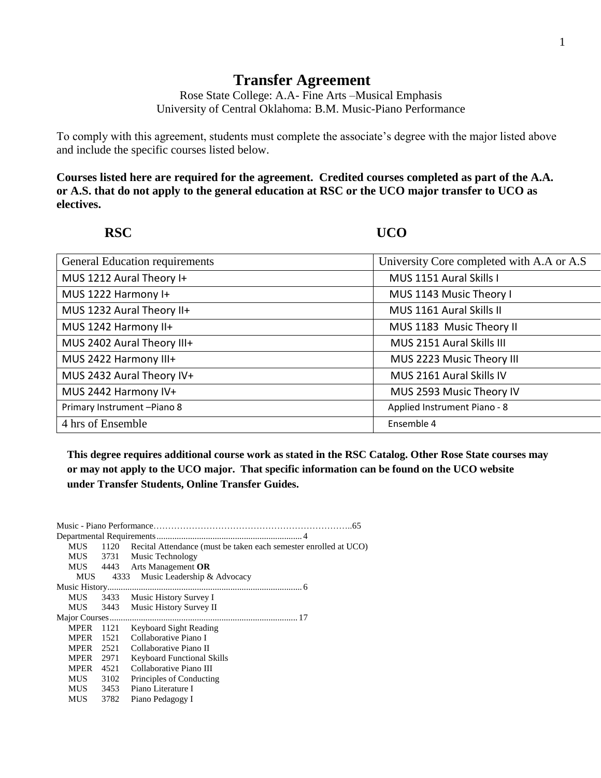## **Transfer Agreement**

Rose State College: A.A- Fine Arts –Musical Emphasis University of Central Oklahoma: B.M. Music-Piano Performance

To comply with this agreement, students must complete the associate's degree with the major listed above and include the specific courses listed below.

**Courses listed here are required for the agreement. Credited courses completed as part of the A.A. or A.S. that do not apply to the general education at RSC or the UCO major transfer to UCO as electives.**

**RSC UCO**

| <b>General Education requirements</b> | University Core completed with A.A or A.S |
|---------------------------------------|-------------------------------------------|
| MUS 1212 Aural Theory I+              | MUS 1151 Aural Skills I                   |
| MUS 1222 Harmony I+                   | MUS 1143 Music Theory I                   |
| MUS 1232 Aural Theory II+             | MUS 1161 Aural Skills II                  |
| MUS 1242 Harmony II+                  | MUS 1183 Music Theory II                  |
| MUS 2402 Aural Theory III+            | MUS 2151 Aural Skills III                 |
| MUS 2422 Harmony III+                 | MUS 2223 Music Theory III                 |
| MUS 2432 Aural Theory IV+             | MUS 2161 Aural Skills IV                  |
| MUS 2442 Harmony IV+                  | MUS 2593 Music Theory IV                  |
| Primary Instrument-Piano 8            | Applied Instrument Piano - 8              |
| 4 hrs of Ensemble                     | Ensemble 4                                |

**64 This degree requires additional course work as stated in the RSC Catalog. Other Rose State courses may The Bridge Students Cooling of the University of the University of Childer Oklahoma…………………………...60-64 under Transfer Students, Online Transfer Guides. or may not apply to the UCO major. That specific information can be found on the UCO website** 

| <b>MUS</b>  |      | 1120 Recital Attendance (must be taken each semester enrolled at UCO) |
|-------------|------|-----------------------------------------------------------------------|
|             |      | MUS 3731 Music Technology                                             |
|             |      | MUS 4443 Arts Management OR                                           |
| <b>MUS</b>  |      | 4333 Music Leadership & Advocacy                                      |
|             |      |                                                                       |
| <b>MUS</b>  |      | 3433 Music History Survey I                                           |
| <b>MUS</b>  | 3443 | Music History Survey II                                               |
|             |      |                                                                       |
| MPER        | 1121 | Keyboard Sight Reading                                                |
| <b>MPER</b> | 1521 | Collaborative Piano I                                                 |
| <b>MPER</b> | 2521 | Collaborative Piano II                                                |
| MPER        | 2971 | <b>Keyboard Functional Skills</b>                                     |
| <b>MPER</b> | 4521 | Collaborative Piano III                                               |
| <b>MUS</b>  | 3102 | Principles of Conducting                                              |
| MUS 3453    |      | Piano Literature I                                                    |
| <b>MUS</b>  | 3782 | Piano Pedagogy I                                                      |
|             |      |                                                                       |